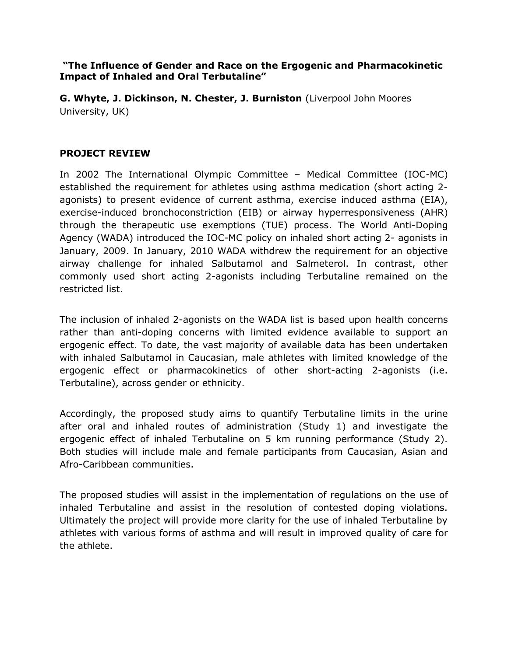**"The Influence of Gender and Race on the Ergogenic and Pharmacokinetic Impact of Inhaled and Oral Terbutaline"**

**G. Whyte, J. Dickinson, N. Chester, J. Burniston** (Liverpool John Moores University, UK)

## **PROJECT REVIEW**

In 2002 The International Olympic Committee – Medical Committee (IOC-MC) established the requirement for athletes using asthma medication (short acting 2 agonists) to present evidence of current asthma, exercise induced asthma (EIA), exercise-induced bronchoconstriction (EIB) or airway hyperresponsiveness (AHR) through the therapeutic use exemptions (TUE) process. The World Anti-Doping Agency (WADA) introduced the IOC-MC policy on inhaled short acting 2- agonists in January, 2009. In January, 2010 WADA withdrew the requirement for an objective airway challenge for inhaled Salbutamol and Salmeterol. In contrast, other commonly used short acting 2-agonists including Terbutaline remained on the restricted list.

The inclusion of inhaled 2-agonists on the WADA list is based upon health concerns rather than anti-doping concerns with limited evidence available to support an ergogenic effect. To date, the vast majority of available data has been undertaken with inhaled Salbutamol in Caucasian, male athletes with limited knowledge of the ergogenic effect or pharmacokinetics of other short-acting 2-agonists (i.e. Terbutaline), across gender or ethnicity.

Accordingly, the proposed study aims to quantify Terbutaline limits in the urine after oral and inhaled routes of administration (Study 1) and investigate the ergogenic effect of inhaled Terbutaline on 5 km running performance (Study 2). Both studies will include male and female participants from Caucasian, Asian and Afro-Caribbean communities.

The proposed studies will assist in the implementation of regulations on the use of inhaled Terbutaline and assist in the resolution of contested doping violations. Ultimately the project will provide more clarity for the use of inhaled Terbutaline by athletes with various forms of asthma and will result in improved quality of care for the athlete.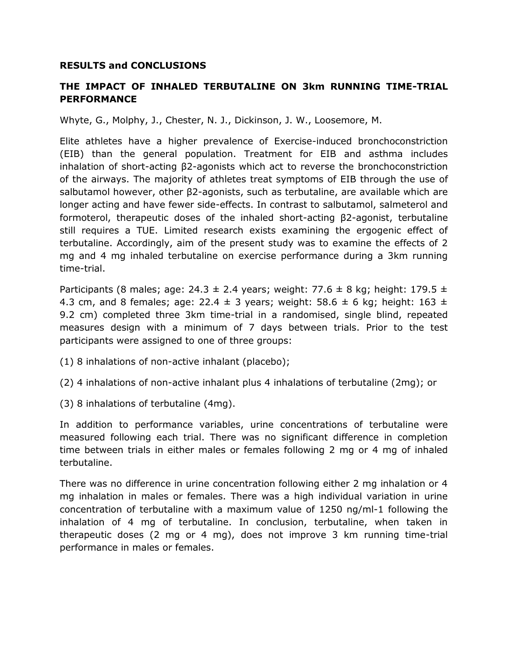## **RESULTS and CONCLUSIONS**

## **THE IMPACT OF INHALED TERBUTALINE ON 3km RUNNING TIME-TRIAL PERFORMANCE**

Whyte, G., Molphy, J., Chester, N. J., Dickinson, J. W., Loosemore, M.

Elite athletes have a higher prevalence of Exercise-induced bronchoconstriction (EIB) than the general population. Treatment for EIB and asthma includes inhalation of short-acting β2-agonists which act to reverse the bronchoconstriction of the airways. The majority of athletes treat symptoms of EIB through the use of salbutamol however, other β2-agonists, such as terbutaline, are available which are longer acting and have fewer side-effects. In contrast to salbutamol, salmeterol and formoterol, therapeutic doses of the inhaled short-acting β2-agonist, terbutaline still requires a TUE. Limited research exists examining the ergogenic effect of terbutaline. Accordingly, aim of the present study was to examine the effects of 2 mg and 4 mg inhaled terbutaline on exercise performance during a 3km running time-trial.

Participants (8 males; age: 24.3  $\pm$  2.4 years; weight: 77.6  $\pm$  8 kg; height: 179.5  $\pm$ 4.3 cm, and 8 females; age: 22.4  $\pm$  3 years; weight: 58.6  $\pm$  6 kg; height: 163  $\pm$ 9.2 cm) completed three 3km time-trial in a randomised, single blind, repeated measures design with a minimum of 7 days between trials. Prior to the test participants were assigned to one of three groups:

(1) 8 inhalations of non-active inhalant (placebo);

- (2) 4 inhalations of non-active inhalant plus 4 inhalations of terbutaline (2mg); or
- (3) 8 inhalations of terbutaline (4mg).

In addition to performance variables, urine concentrations of terbutaline were measured following each trial. There was no significant difference in completion time between trials in either males or females following 2 mg or 4 mg of inhaled terbutaline.

There was no difference in urine concentration following either 2 mg inhalation or 4 mg inhalation in males or females. There was a high individual variation in urine concentration of terbutaline with a maximum value of 1250 ng/ml-1 following the inhalation of 4 mg of terbutaline. In conclusion, terbutaline, when taken in therapeutic doses (2 mg or 4 mg), does not improve 3 km running time-trial performance in males or females.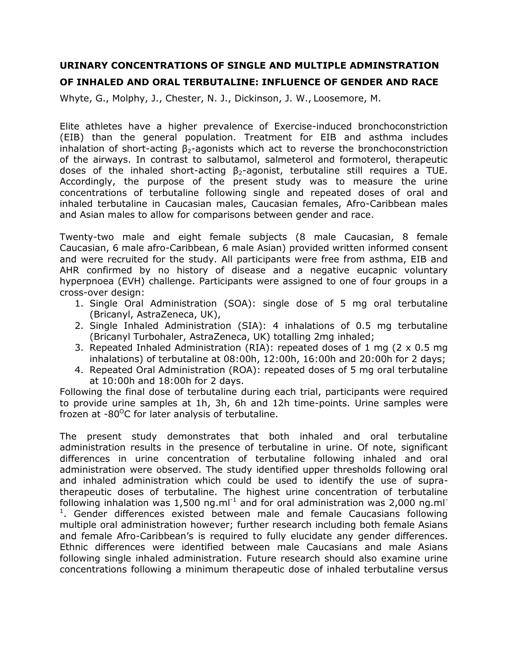## **URINARY CONCENTRATIONS OF SINGLE AND MULTIPLE ADMINSTRATION OF INHALED AND ORAL TERBUTALINE: INFLUENCE OF GENDER AND RACE**

Whyte, G., Molphy, J., Chester, N. J., Dickinson, J. W., Loosemore, M.

Elite athletes have a higher prevalence of Exercise-induced bronchoconstriction (EIB) than the general population. Treatment for EIB and asthma includes inhalation of short-acting  $\beta_{2}$ -agonists which act to reverse the bronchoconstriction of the airways. In contrast to salbutamol, salmeterol and formoterol, therapeutic doses of the inhaled short-acting  $β_2$ -agonist, terbutaline still requires a TUE. Accordingly, the purpose of the present study was to measure the urine concentrations of terbutaline following single and repeated doses of oral and inhaled terbutaline in Caucasian males, Caucasian females, Afro-Caribbean males and Asian males to allow for comparisons between gender and race.

Twenty-two male and eight female subjects (8 male Caucasian, 8 female Caucasian, 6 male afro-Caribbean, 6 male Asian) provided written informed consent and were recruited for the study. All participants were free from asthma, EIB and AHR confirmed by no history of disease and a negative eucapnic voluntary hyperpnoea (EVH) challenge. Participants were assigned to one of four groups in a cross-over design:

- 1. Single Oral Administration (SOA): single dose of 5 mg oral terbutaline (Bricanyl, AstraZeneca, UK),
- 2. Single Inhaled Administration (SIA): 4 inhalations of 0.5 mg terbutaline (Bricanyl Turbohaler, AstraZeneca, UK) totalling 2mg inhaled;
- 3. Repeated Inhaled Administration (RIA): repeated doses of 1 mg (2 x 0.5 mg inhalations) of terbutaline at 08:00h, 12:00h, 16:00h and 20:00h for 2 days;
- 4. Repeated Oral Administration (ROA): repeated doses of 5 mg oral terbutaline at 10:00h and 18:00h for 2 days.

Following the final dose of terbutaline during each trial, participants were required to provide urine samples at 1h, 3h, 6h and 12h time-points. Urine samples were frozen at  $-80^{\circ}$ C for later analysis of terbutaline.

The present study demonstrates that both inhaled and oral terbutaline administration results in the presence of terbutaline in urine. Of note, significant differences in urine concentration of terbutaline following inhaled and oral administration were observed. The study identified upper thresholds following oral and inhaled administration which could be used to identify the use of supratherapeutic doses of terbutaline. The highest urine concentration of terbutaline following inhalation was 1,500 ng.ml<sup>-1</sup> and for oral administration was 2,000 ng.ml<sup>-</sup> <sup>1</sup>. Gender differences existed between male and female Caucasians following multiple oral administration however; further research including both female Asians and female Afro-Caribbean's is required to fully elucidate any gender differences. Ethnic differences were identified between male Caucasians and male Asians following single inhaled administration. Future research should also examine urine concentrations following a minimum therapeutic dose of inhaled terbutaline versus